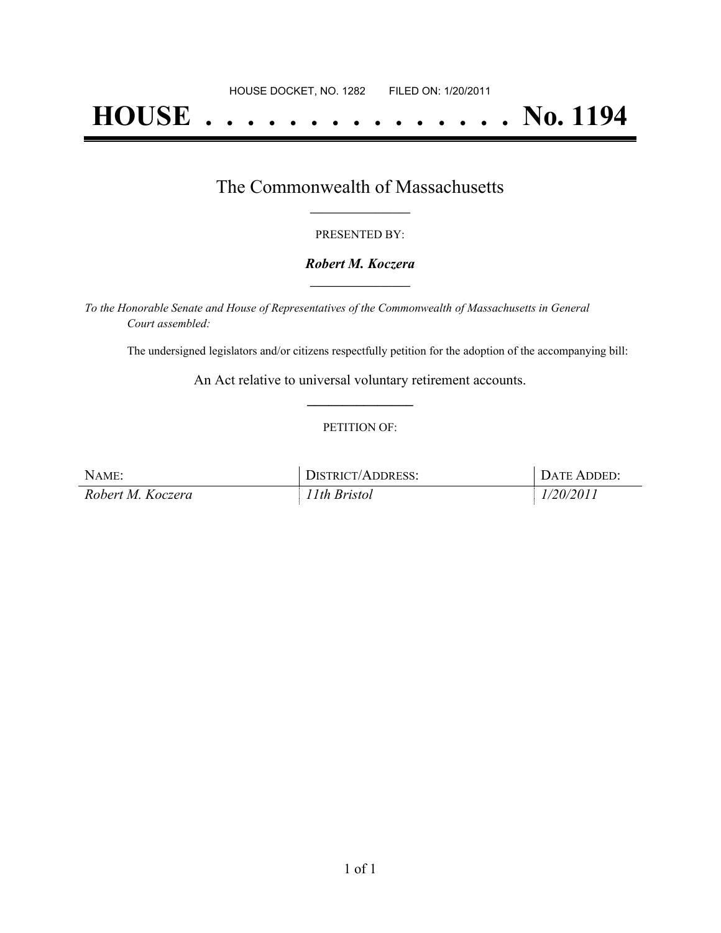# **HOUSE . . . . . . . . . . . . . . . No. 1194**

### The Commonwealth of Massachusetts **\_\_\_\_\_\_\_\_\_\_\_\_\_\_\_\_\_**

#### PRESENTED BY:

#### *Robert M. Koczera* **\_\_\_\_\_\_\_\_\_\_\_\_\_\_\_\_\_**

*To the Honorable Senate and House of Representatives of the Commonwealth of Massachusetts in General Court assembled:*

The undersigned legislators and/or citizens respectfully petition for the adoption of the accompanying bill:

An Act relative to universal voluntary retirement accounts. **\_\_\_\_\_\_\_\_\_\_\_\_\_\_\_**

#### PETITION OF:

| NAME:             | DISTRICT/ADDRESS: | <b>DATE ADDED:</b> |
|-------------------|-------------------|--------------------|
| Robert M. Koczera | 11th Bristol      | 1/20/2011          |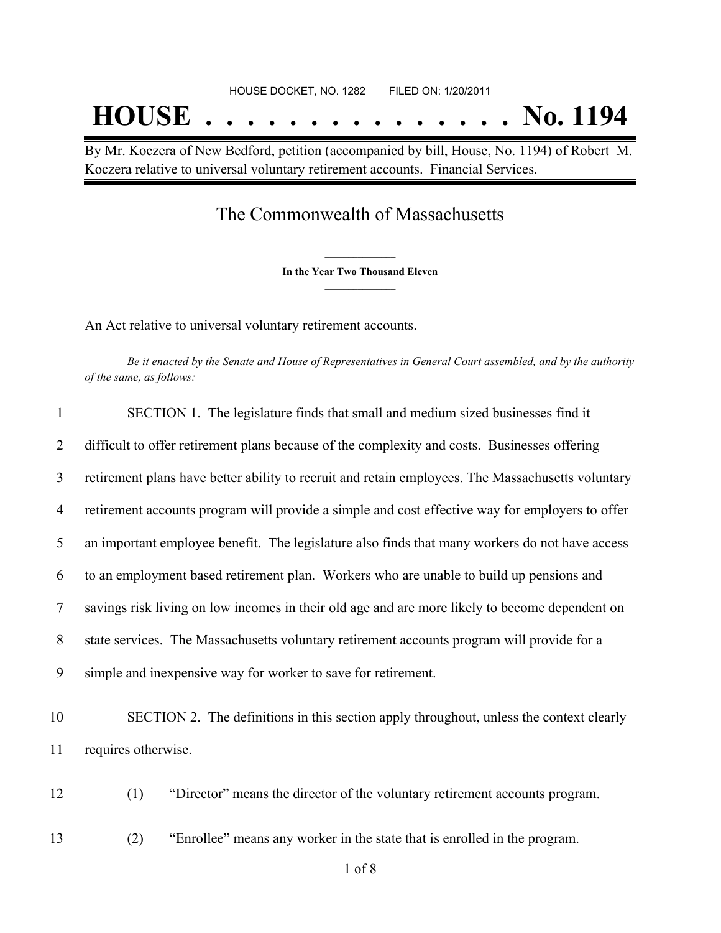By Mr. Koczera of New Bedford, petition (accompanied by bill, House, No. 1194) of Robert M. Koczera relative to universal voluntary retirement accounts. Financial Services.

## The Commonwealth of Massachusetts

**\_\_\_\_\_\_\_\_\_\_\_\_\_\_\_ In the Year Two Thousand Eleven \_\_\_\_\_\_\_\_\_\_\_\_\_\_\_**

An Act relative to universal voluntary retirement accounts.

Be it enacted by the Senate and House of Representatives in General Court assembled, and by the authority *of the same, as follows:*

| $\mathbf{1}$   | SECTION 1. The legislature finds that small and medium sized businesses find it                   |
|----------------|---------------------------------------------------------------------------------------------------|
| $\overline{2}$ | difficult to offer retirement plans because of the complexity and costs. Businesses offering      |
| 3              | retirement plans have better ability to recruit and retain employees. The Massachusetts voluntary |
| $\overline{4}$ | retirement accounts program will provide a simple and cost effective way for employers to offer   |
| 5              | an important employee benefit. The legislature also finds that many workers do not have access    |
| 6              | to an employment based retirement plan. Workers who are unable to build up pensions and           |
| 7              | savings risk living on low incomes in their old age and are more likely to become dependent on    |
| 8              | state services. The Massachusetts voluntary retirement accounts program will provide for a        |
| 9              | simple and inexpensive way for worker to save for retirement.                                     |
| 10             | SECTION 2. The definitions in this section apply throughout, unless the context clearly           |
| 11             | requires otherwise.                                                                               |
| 12             | (1)<br>"Director" means the director of the voluntary retirement accounts program.                |
| 13             | "Enrollee" means any worker in the state that is enrolled in the program.<br>(2)                  |
|                |                                                                                                   |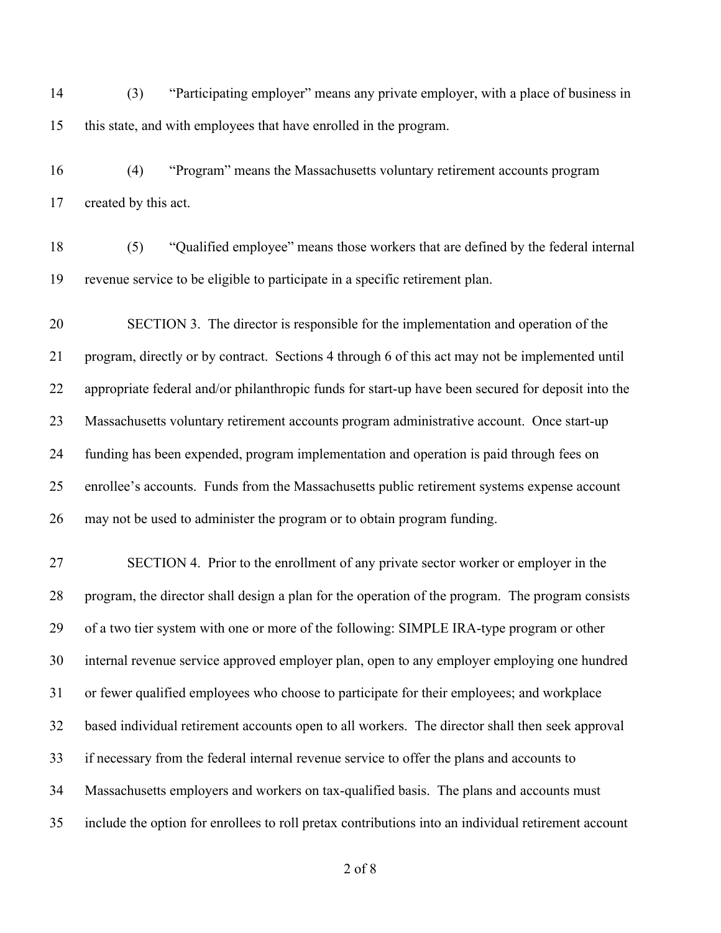(3) "Participating employer" means any private employer, with a place of business in this state, and with employees that have enrolled in the program.

 (4) "Program" means the Massachusetts voluntary retirement accounts program created by this act.

 (5) "Qualified employee" means those workers that are defined by the federal internal revenue service to be eligible to participate in a specific retirement plan.

 SECTION 3. The director is responsible for the implementation and operation of the program, directly or by contract. Sections 4 through 6 of this act may not be implemented until appropriate federal and/or philanthropic funds for start-up have been secured for deposit into the Massachusetts voluntary retirement accounts program administrative account. Once start-up funding has been expended, program implementation and operation is paid through fees on enrollee's accounts. Funds from the Massachusetts public retirement systems expense account may not be used to administer the program or to obtain program funding.

 SECTION 4. Prior to the enrollment of any private sector worker or employer in the program, the director shall design a plan for the operation of the program. The program consists of a two tier system with one or more of the following: SIMPLE IRA-type program or other internal revenue service approved employer plan, open to any employer employing one hundred or fewer qualified employees who choose to participate for their employees; and workplace based individual retirement accounts open to all workers. The director shall then seek approval if necessary from the federal internal revenue service to offer the plans and accounts to Massachusetts employers and workers on tax-qualified basis. The plans and accounts must include the option for enrollees to roll pretax contributions into an individual retirement account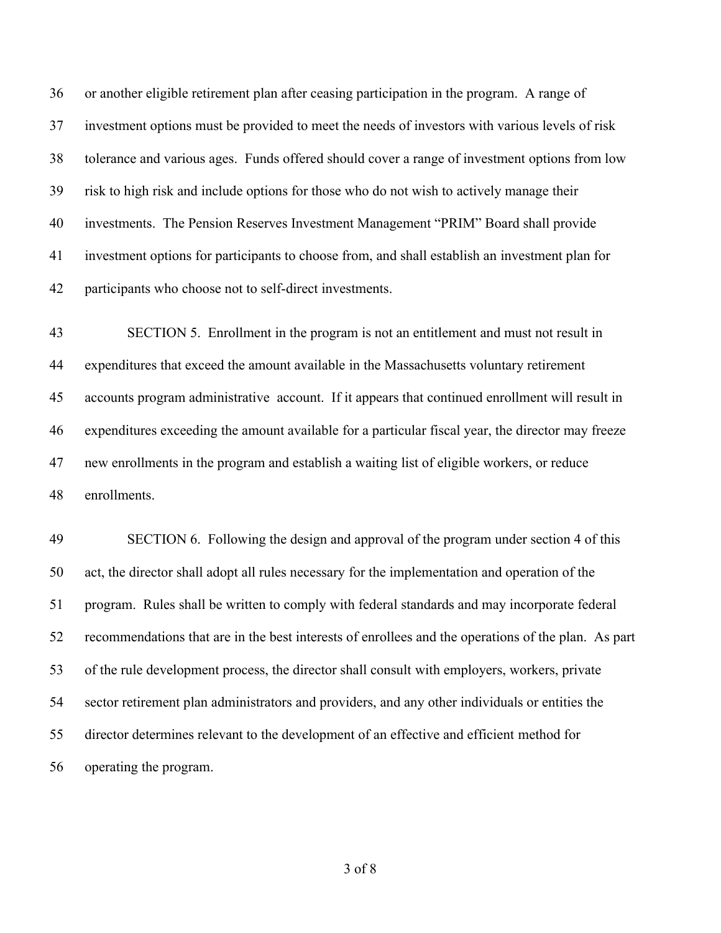or another eligible retirement plan after ceasing participation in the program. A range of investment options must be provided to meet the needs of investors with various levels of risk tolerance and various ages. Funds offered should cover a range of investment options from low risk to high risk and include options for those who do not wish to actively manage their investments. The Pension Reserves Investment Management "PRIM" Board shall provide investment options for participants to choose from, and shall establish an investment plan for participants who choose not to self-direct investments.

 SECTION 5. Enrollment in the program is not an entitlement and must not result in expenditures that exceed the amount available in the Massachusetts voluntary retirement accounts program administrative account. If it appears that continued enrollment will result in expenditures exceeding the amount available for a particular fiscal year, the director may freeze new enrollments in the program and establish a waiting list of eligible workers, or reduce enrollments.

 SECTION 6. Following the design and approval of the program under section 4 of this act, the director shall adopt all rules necessary for the implementation and operation of the program. Rules shall be written to comply with federal standards and may incorporate federal recommendations that are in the best interests of enrollees and the operations of the plan. As part of the rule development process, the director shall consult with employers, workers, private sector retirement plan administrators and providers, and any other individuals or entities the director determines relevant to the development of an effective and efficient method for operating the program.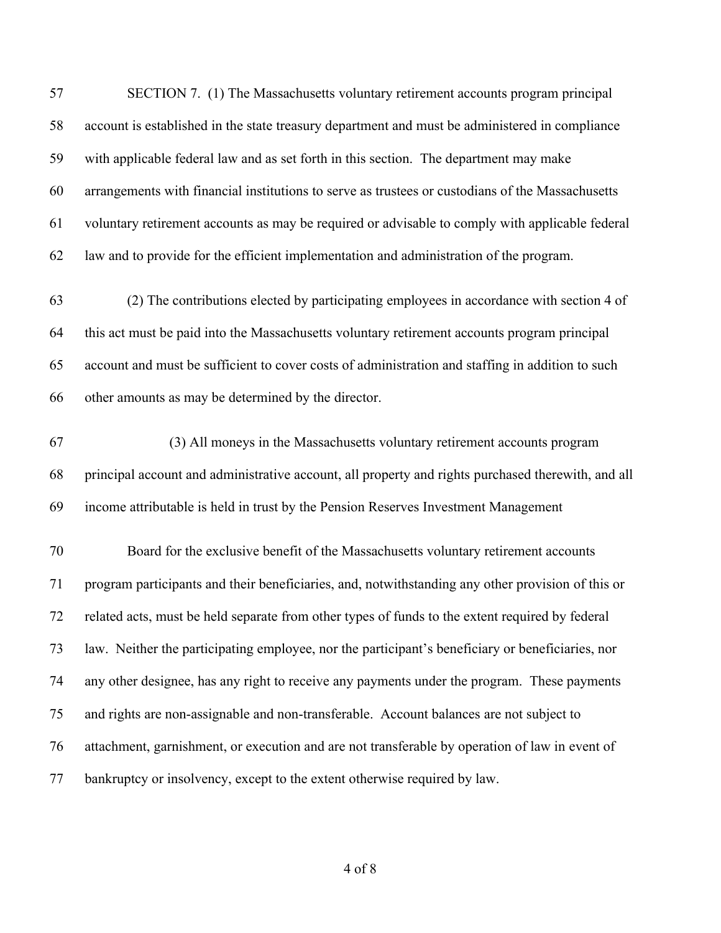| 57 | SECTION 7. (1) The Massachusetts voluntary retirement accounts program principal                   |
|----|----------------------------------------------------------------------------------------------------|
| 58 | account is established in the state treasury department and must be administered in compliance     |
| 59 | with applicable federal law and as set forth in this section. The department may make              |
| 60 | arrangements with financial institutions to serve as trustees or custodians of the Massachusetts   |
| 61 | voluntary retirement accounts as may be required or advisable to comply with applicable federal    |
| 62 | law and to provide for the efficient implementation and administration of the program.             |
| 63 | (2) The contributions elected by participating employees in accordance with section 4 of           |
| 64 | this act must be paid into the Massachusetts voluntary retirement accounts program principal       |
| 65 | account and must be sufficient to cover costs of administration and staffing in addition to such   |
| 66 | other amounts as may be determined by the director.                                                |
| 67 | (3) All moneys in the Massachusetts voluntary retirement accounts program                          |
| 68 | principal account and administrative account, all property and rights purchased therewith, and all |
| 69 | income attributable is held in trust by the Pension Reserves Investment Management                 |
| 70 | Board for the exclusive benefit of the Massachusetts voluntary retirement accounts                 |
| 71 | program participants and their beneficiaries, and, notwithstanding any other provision of this or  |
| 72 | related acts, must be held separate from other types of funds to the extent required by federal    |
| 73 | law. Neither the participating employee, nor the participant's beneficiary or beneficiaries, nor   |
| 74 | any other designee, has any right to receive any payments under the program. These payments        |
| 75 | and rights are non-assignable and non-transferable. Account balances are not subject to            |
| 76 | attachment, garnishment, or execution and are not transferable by operation of law in event of     |
| 77 | bankruptcy or insolvency, except to the extent otherwise required by law.                          |
|    |                                                                                                    |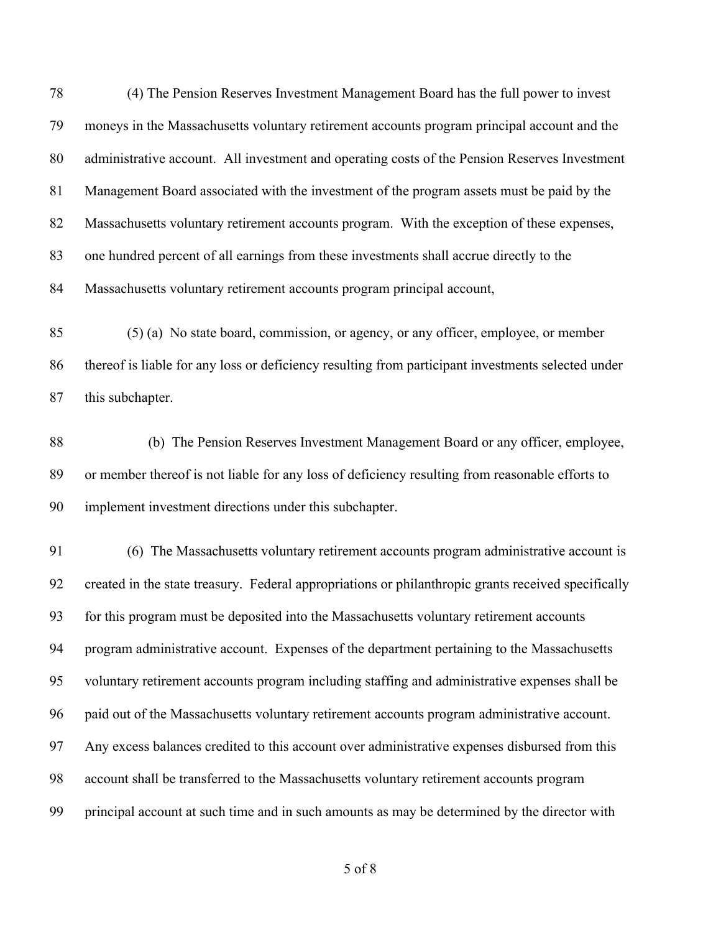(4) The Pension Reserves Investment Management Board has the full power to invest moneys in the Massachusetts voluntary retirement accounts program principal account and the administrative account. All investment and operating costs of the Pension Reserves Investment Management Board associated with the investment of the program assets must be paid by the 82 Massachusetts voluntary retirement accounts program. With the exception of these expenses, one hundred percent of all earnings from these investments shall accrue directly to the Massachusetts voluntary retirement accounts program principal account,

 (5) (a) No state board, commission, or agency, or any officer, employee, or member thereof is liable for any loss or deficiency resulting from participant investments selected under this subchapter.

88 (b) The Pension Reserves Investment Management Board or any officer, employee, or member thereof is not liable for any loss of deficiency resulting from reasonable efforts to implement investment directions under this subchapter.

 (6) The Massachusetts voluntary retirement accounts program administrative account is created in the state treasury. Federal appropriations or philanthropic grants received specifically for this program must be deposited into the Massachusetts voluntary retirement accounts program administrative account. Expenses of the department pertaining to the Massachusetts voluntary retirement accounts program including staffing and administrative expenses shall be paid out of the Massachusetts voluntary retirement accounts program administrative account. Any excess balances credited to this account over administrative expenses disbursed from this account shall be transferred to the Massachusetts voluntary retirement accounts program principal account at such time and in such amounts as may be determined by the director with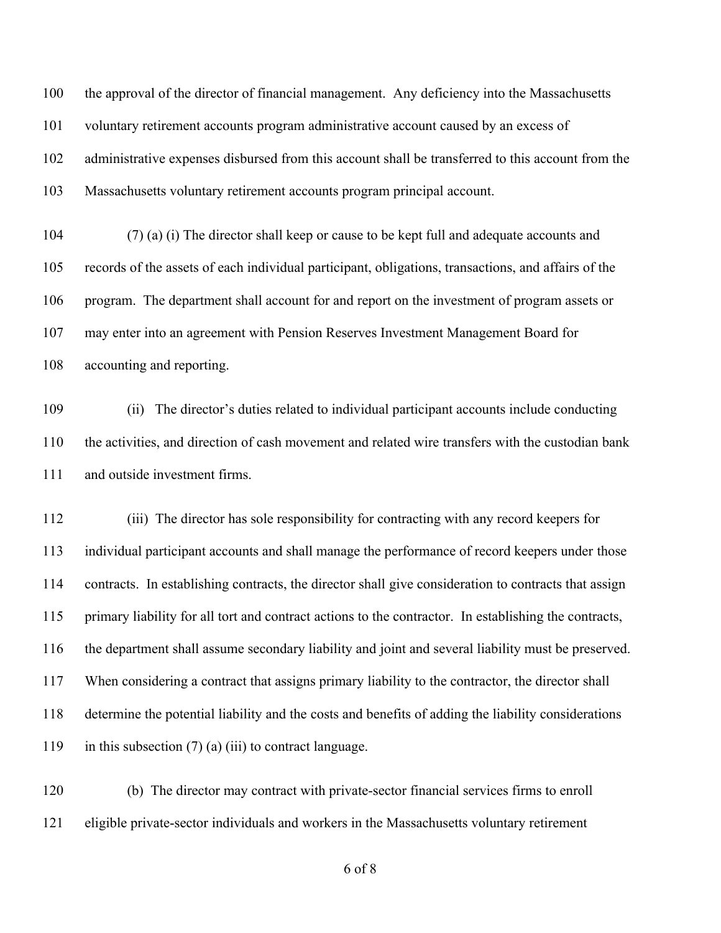the approval of the director of financial management. Any deficiency into the Massachusetts voluntary retirement accounts program administrative account caused by an excess of administrative expenses disbursed from this account shall be transferred to this account from the Massachusetts voluntary retirement accounts program principal account.

 (7) (a) (i) The director shall keep or cause to be kept full and adequate accounts and records of the assets of each individual participant, obligations, transactions, and affairs of the program. The department shall account for and report on the investment of program assets or may enter into an agreement with Pension Reserves Investment Management Board for accounting and reporting.

 (ii) The director's duties related to individual participant accounts include conducting the activities, and direction of cash movement and related wire transfers with the custodian bank and outside investment firms.

 (iii) The director has sole responsibility for contracting with any record keepers for individual participant accounts and shall manage the performance of record keepers under those contracts. In establishing contracts, the director shall give consideration to contracts that assign primary liability for all tort and contract actions to the contractor. In establishing the contracts, the department shall assume secondary liability and joint and several liability must be preserved. When considering a contract that assigns primary liability to the contractor, the director shall determine the potential liability and the costs and benefits of adding the liability considerations 119 in this subsection  $(7)$  (a) (iii) to contract language.

 (b) The director may contract with private-sector financial services firms to enroll eligible private-sector individuals and workers in the Massachusetts voluntary retirement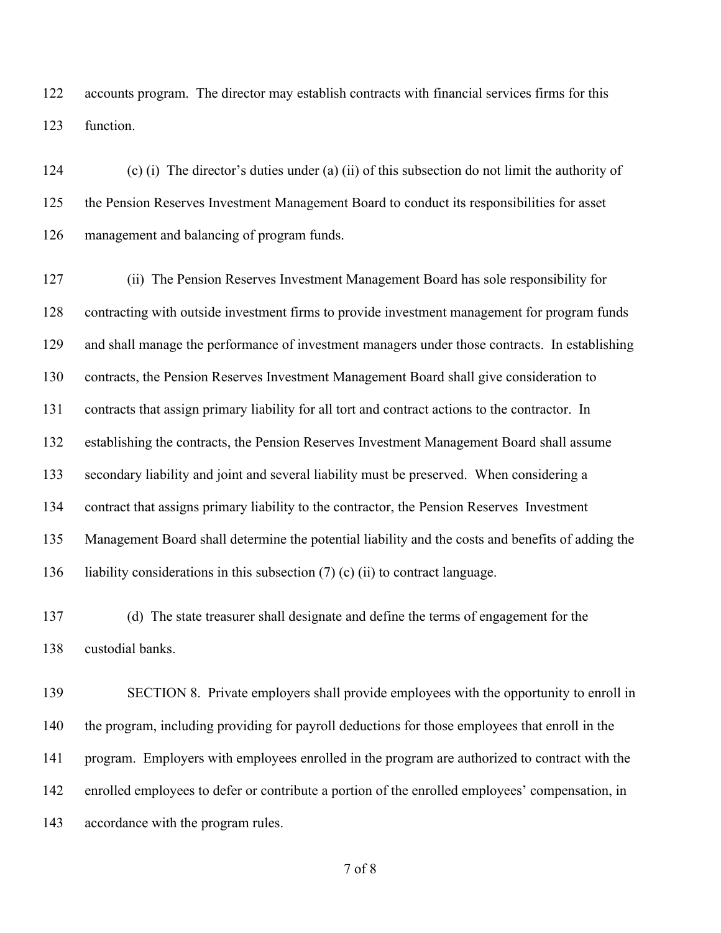accounts program. The director may establish contracts with financial services firms for this function.

 (c) (i) The director's duties under (a) (ii) of this subsection do not limit the authority of the Pension Reserves Investment Management Board to conduct its responsibilities for asset management and balancing of program funds.

 (ii) The Pension Reserves Investment Management Board has sole responsibility for contracting with outside investment firms to provide investment management for program funds and shall manage the performance of investment managers under those contracts. In establishing contracts, the Pension Reserves Investment Management Board shall give consideration to contracts that assign primary liability for all tort and contract actions to the contractor. In establishing the contracts, the Pension Reserves Investment Management Board shall assume secondary liability and joint and several liability must be preserved. When considering a contract that assigns primary liability to the contractor, the Pension Reserves Investment Management Board shall determine the potential liability and the costs and benefits of adding the 136 liability considerations in this subsection  $(7)$  (c) (ii) to contract language.

 (d) The state treasurer shall designate and define the terms of engagement for the custodial banks.

 SECTION 8. Private employers shall provide employees with the opportunity to enroll in the program, including providing for payroll deductions for those employees that enroll in the program. Employers with employees enrolled in the program are authorized to contract with the enrolled employees to defer or contribute a portion of the enrolled employees' compensation, in accordance with the program rules.